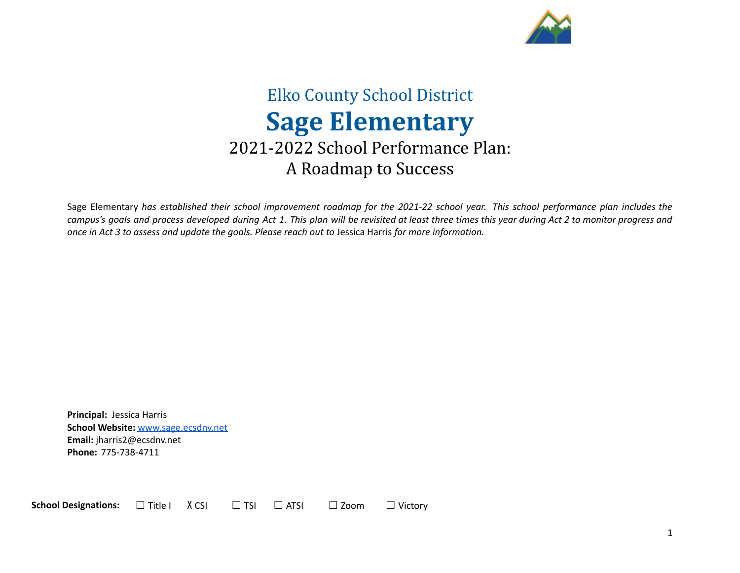

# Elko County School District **Sage Elementary** 2021-2022 School Performance Plan: A Roadmap to Success

Sage Elementary has established their school improvement roadmap for the 2021-22 school year. This school performance plan includes the campus's goals and process developed during Act 1. This plan will be revisited at least three times this year during Act 2 to monitor progress and *once in Act 3 to assess and update the goals. Please reach out to* Jessica Harris *for more information.*

**Principal:** Jessica Harris **School Website:** [www.sage.ecsdnv.net](http://www.sage.ecsdnv.net) **Email:** jharris2@ecsdnv.net **Phone:** 775-738-4711

**School Designations:** □ Title I X CSI □ TSI □ ATSI □ Zoom □ Victory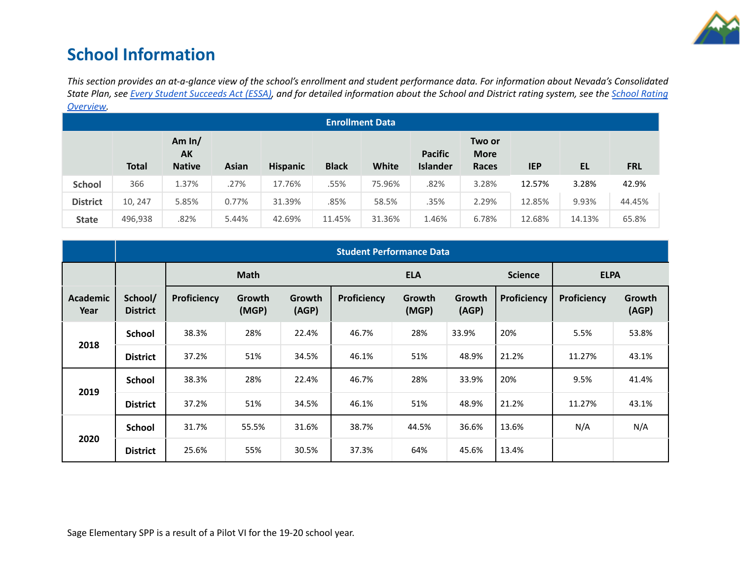

# **School Information**

This section provides an at-a-glance view of the school's enrollment and student performance data. For information about Nevada's Consolidated State Plan, see Every Student [Succeeds](https://doe.nv.gov/uploadedFiles/ndedoenvgov/content/Boards_Commissions_Councils/ESSA_Adv_Group/NevadaSubmittedConsolidatedPlanFinal.pdf) Act (ESSA), and for detailed information about the School and District rating system, see the School [Rating](http://nevadareportcard.nv.gov/DI/MoreDownload?filename=Nevadas%20School%20Rating%20System.pdf) *[Overview.](http://nevadareportcard.nv.gov/DI/MoreDownload?filename=Nevadas%20School%20Rating%20System.pdf)*

| <u>-</u>               |              |                                 |              |                 |              |        |                                   |                                |            |        |            |
|------------------------|--------------|---------------------------------|--------------|-----------------|--------------|--------|-----------------------------------|--------------------------------|------------|--------|------------|
| <b>Enrollment Data</b> |              |                                 |              |                 |              |        |                                   |                                |            |        |            |
|                        | <b>Total</b> | Am $ln/$<br>AK<br><b>Native</b> | <b>Asian</b> | <b>Hispanic</b> | <b>Black</b> | White  | <b>Pacific</b><br><b>Islander</b> | Two or<br><b>More</b><br>Races | <b>IEP</b> | EL     | <b>FRL</b> |
| <b>School</b>          | 366          | 1.37%                           | .27%         | 17.76%          | .55%         | 75.96% | .82%                              | 3.28%                          | 12.57%     | 3.28%  | 42.9%      |
| <b>District</b>        | 10, 247      | 5.85%                           | 0.77%        | 31.39%          | .85%         | 58.5%  | .35%                              | 2.29%                          | 12.85%     | 9.93%  | 44.45%     |
| <b>State</b>           | 496,938      | .82%                            | 5.44%        | 42.69%          | 11.45%       | 31.36% | 1.46%                             | 6.78%                          | 12.68%     | 14.13% | 65.8%      |

|                         | <b>Student Performance Data</b> |             |                 |                 |             |                 |                 |                |             |                 |
|-------------------------|---------------------------------|-------------|-----------------|-----------------|-------------|-----------------|-----------------|----------------|-------------|-----------------|
|                         |                                 | <b>Math</b> |                 |                 |             | <b>ELA</b>      |                 | <b>Science</b> | <b>ELPA</b> |                 |
| <b>Academic</b><br>Year | School/<br><b>District</b>      | Proficiency | Growth<br>(MGP) | Growth<br>(AGP) | Proficiency | Growth<br>(MGP) | Growth<br>(AGP) | Proficiency    | Proficiency | Growth<br>(AGP) |
|                         | <b>School</b>                   | 38.3%       | 28%             | 22.4%           | 46.7%       | 28%             | 33.9%           | 20%            | 5.5%        | 53.8%           |
| 2018                    | <b>District</b>                 | 37.2%       | 51%             | 34.5%           | 46.1%       | 51%             | 48.9%           | 21.2%          | 11.27%      | 43.1%           |
|                         | <b>School</b>                   | 38.3%       | 28%             | 22.4%           | 46.7%       | 28%             | 33.9%           | 20%            | 9.5%        | 41.4%           |
| 2019                    | <b>District</b>                 | 37.2%       | 51%             | 34.5%           | 46.1%       | 51%             | 48.9%           | 21.2%          | 11.27%      | 43.1%           |
|                         | <b>School</b>                   | 31.7%       | 55.5%           | 31.6%           | 38.7%       | 44.5%           | 36.6%           | 13.6%          | N/A         | N/A             |
| 2020                    | <b>District</b>                 | 25.6%       | 55%             | 30.5%           | 37.3%       | 64%             | 45.6%           | 13.4%          |             |                 |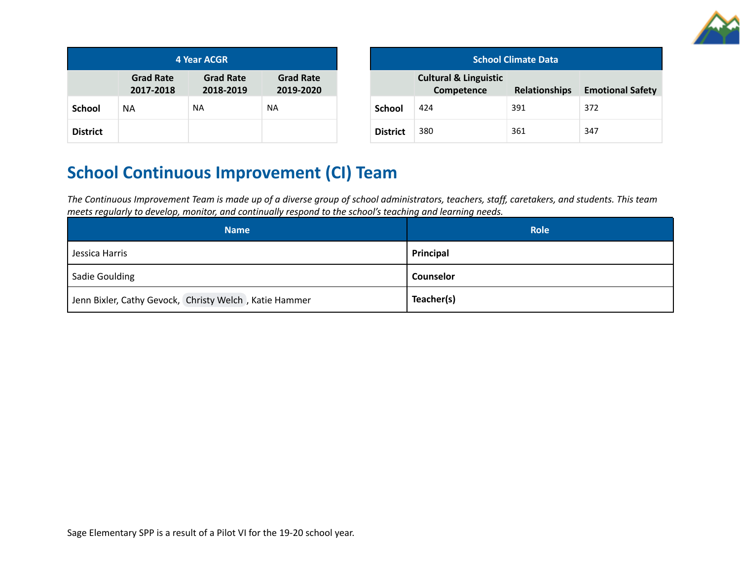

| 4 Year ACGR                                                                                     |    |           |     |  |  |  |
|-------------------------------------------------------------------------------------------------|----|-----------|-----|--|--|--|
| <b>Grad Rate</b><br><b>Grad Rate</b><br><b>Grad Rate</b><br>2018-2019<br>2019-2020<br>2017-2018 |    |           |     |  |  |  |
| <b>School</b>                                                                                   | NА | <b>NA</b> | NA. |  |  |  |
| <b>District</b>                                                                                 |    |           |     |  |  |  |

| <b>School Climate Data</b> |                                                |                      |                         |  |  |  |
|----------------------------|------------------------------------------------|----------------------|-------------------------|--|--|--|
|                            | <b>Cultural &amp; Linguistic</b><br>Competence | <b>Relationships</b> | <b>Emotional Safety</b> |  |  |  |
| <b>School</b>              | 424                                            | 391                  | 372                     |  |  |  |
| <b>District</b>            | 380                                            | 361                  | 347                     |  |  |  |

# **School Continuous Improvement (CI) Team**

The Continuous Improvement Team is made up of a diverse group of school administrators, teachers, staff, caretakers, and students. This team *meets regularly to develop, monitor, and continually respond to the school's teaching and learning needs.*

| <b>Name</b>                                            | <b>Role</b> |
|--------------------------------------------------------|-------------|
| Jessica Harris                                         | Principal   |
| Sadie Goulding                                         | Counselor   |
| Jenn Bixler, Cathy Gevock, Christy Welch, Katie Hammer | Teacher(s)  |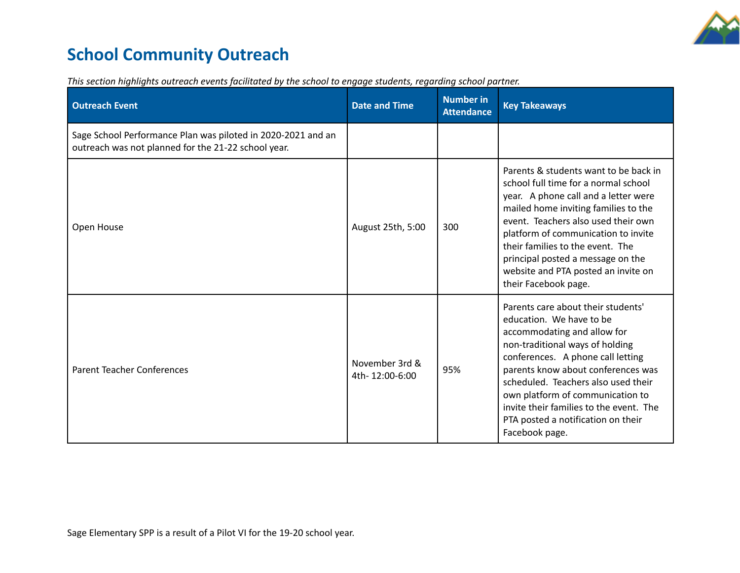

# **School Community Outreach**

| <b>Outreach Event</b>                                                                                               | <b>Date and Time</b>             | <b>Number in</b><br><b>Attendance</b> | <b>Key Takeaways</b>                                                                                                                                                                                                                                                                                                                                                                      |
|---------------------------------------------------------------------------------------------------------------------|----------------------------------|---------------------------------------|-------------------------------------------------------------------------------------------------------------------------------------------------------------------------------------------------------------------------------------------------------------------------------------------------------------------------------------------------------------------------------------------|
| Sage School Performance Plan was piloted in 2020-2021 and an<br>outreach was not planned for the 21-22 school year. |                                  |                                       |                                                                                                                                                                                                                                                                                                                                                                                           |
| Open House                                                                                                          | August 25th, 5:00                | 300                                   | Parents & students want to be back in<br>school full time for a normal school<br>year. A phone call and a letter were<br>mailed home inviting families to the<br>event. Teachers also used their own<br>platform of communication to invite<br>their families to the event. The<br>principal posted a message on the<br>website and PTA posted an invite on<br>their Facebook page.       |
| <b>Parent Teacher Conferences</b>                                                                                   | November 3rd &<br>4th-12:00-6:00 | 95%                                   | Parents care about their students'<br>education. We have to be<br>accommodating and allow for<br>non-traditional ways of holding<br>conferences. A phone call letting<br>parents know about conferences was<br>scheduled. Teachers also used their<br>own platform of communication to<br>invite their families to the event. The<br>PTA posted a notification on their<br>Facebook page. |

*This section highlights outreach events facilitated by the school to engage students, regarding school partner.*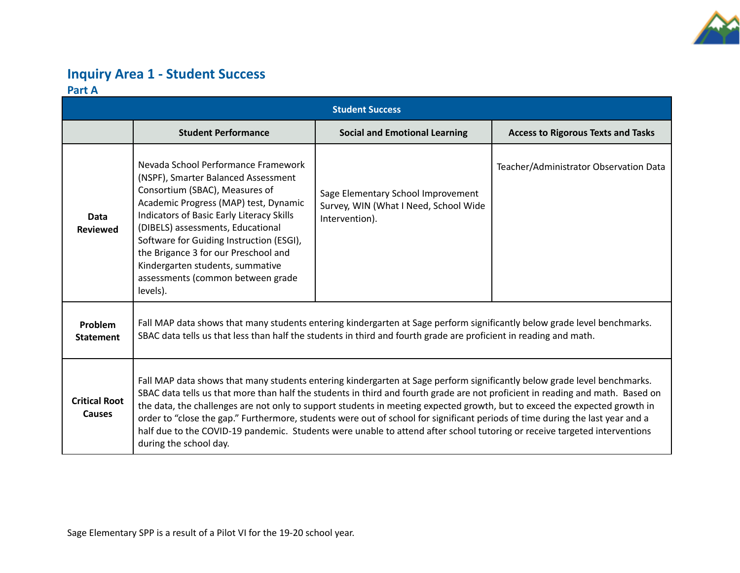

## **Inquiry Area 1 - Student Success Part A**

| <b>Student Success</b>         |                                                                                                                                                                                                                                                                                                                                                                                                                                                                                                                                                                                                                                                                                  |                                                                                               |                                           |  |  |  |
|--------------------------------|----------------------------------------------------------------------------------------------------------------------------------------------------------------------------------------------------------------------------------------------------------------------------------------------------------------------------------------------------------------------------------------------------------------------------------------------------------------------------------------------------------------------------------------------------------------------------------------------------------------------------------------------------------------------------------|-----------------------------------------------------------------------------------------------|-------------------------------------------|--|--|--|
|                                | <b>Student Performance</b>                                                                                                                                                                                                                                                                                                                                                                                                                                                                                                                                                                                                                                                       | <b>Social and Emotional Learning</b>                                                          | <b>Access to Rigorous Texts and Tasks</b> |  |  |  |
| <b>Data</b><br><b>Reviewed</b> | Nevada School Performance Framework<br>(NSPF), Smarter Balanced Assessment<br>Consortium (SBAC), Measures of<br>Academic Progress (MAP) test, Dynamic<br>Indicators of Basic Early Literacy Skills<br>(DIBELS) assessments, Educational<br>Software for Guiding Instruction (ESGI),<br>the Brigance 3 for our Preschool and<br>Kindergarten students, summative<br>assessments (common between grade<br>levels).                                                                                                                                                                                                                                                                 | Sage Elementary School Improvement<br>Survey, WIN (What I Need, School Wide<br>Intervention). | Teacher/Administrator Observation Data    |  |  |  |
| Problem<br><b>Statement</b>    | Fall MAP data shows that many students entering kindergarten at Sage perform significantly below grade level benchmarks.<br>SBAC data tells us that less than half the students in third and fourth grade are proficient in reading and math.                                                                                                                                                                                                                                                                                                                                                                                                                                    |                                                                                               |                                           |  |  |  |
| <b>Critical Root</b><br>Causes | Fall MAP data shows that many students entering kindergarten at Sage perform significantly below grade level benchmarks.<br>SBAC data tells us that more than half the students in third and fourth grade are not proficient in reading and math. Based on<br>the data, the challenges are not only to support students in meeting expected growth, but to exceed the expected growth in<br>order to "close the gap." Furthermore, students were out of school for significant periods of time during the last year and a<br>half due to the COVID-19 pandemic. Students were unable to attend after school tutoring or receive targeted interventions<br>during the school day. |                                                                                               |                                           |  |  |  |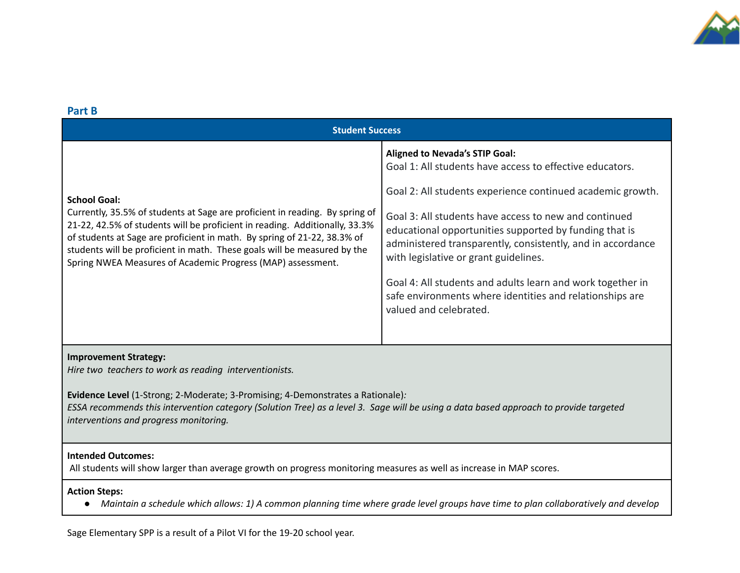

| Part B                                                                                                                                                                                                                                                                                                                                                                                                    |                                                                                                                                                                                                                                                                                                                                                                                                                                                                                                                                                |  |  |  |  |  |
|-----------------------------------------------------------------------------------------------------------------------------------------------------------------------------------------------------------------------------------------------------------------------------------------------------------------------------------------------------------------------------------------------------------|------------------------------------------------------------------------------------------------------------------------------------------------------------------------------------------------------------------------------------------------------------------------------------------------------------------------------------------------------------------------------------------------------------------------------------------------------------------------------------------------------------------------------------------------|--|--|--|--|--|
| <b>Student Success</b>                                                                                                                                                                                                                                                                                                                                                                                    |                                                                                                                                                                                                                                                                                                                                                                                                                                                                                                                                                |  |  |  |  |  |
| <b>School Goal:</b><br>Currently, 35.5% of students at Sage are proficient in reading. By spring of<br>21-22, 42.5% of students will be proficient in reading. Additionally, 33.3%<br>of students at Sage are proficient in math. By spring of 21-22, 38.3% of<br>students will be proficient in math. These goals will be measured by the<br>Spring NWEA Measures of Academic Progress (MAP) assessment. | <b>Aligned to Nevada's STIP Goal:</b><br>Goal 1: All students have access to effective educators.<br>Goal 2: All students experience continued academic growth.<br>Goal 3: All students have access to new and continued<br>educational opportunities supported by funding that is<br>administered transparently, consistently, and in accordance<br>with legislative or grant guidelines.<br>Goal 4: All students and adults learn and work together in<br>safe environments where identities and relationships are<br>valued and celebrated. |  |  |  |  |  |
| <b>Improvement Strategy:</b><br>The contract of the contract of the contract of the contract of the contract of $\mathcal{A}$                                                                                                                                                                                                                                                                             |                                                                                                                                                                                                                                                                                                                                                                                                                                                                                                                                                |  |  |  |  |  |

*Hire two teachers to work as reading interventionists.*

**Evidence Level** (1-Strong; 2-Moderate; 3-Promising; 4-Demonstrates a Rationale)*:* ESSA recommends this intervention category (Solution Tree) as a level 3. Sage will be using a data based approach to provide targeted *interventions and progress monitoring.*

#### **Intended Outcomes:**

All students will show larger than average growth on progress monitoring measures as well as increase in MAP scores.

### **Action Steps:**

• Maintain a schedule which allows: 1) A common planning time where grade level groups have time to plan collaboratively and develop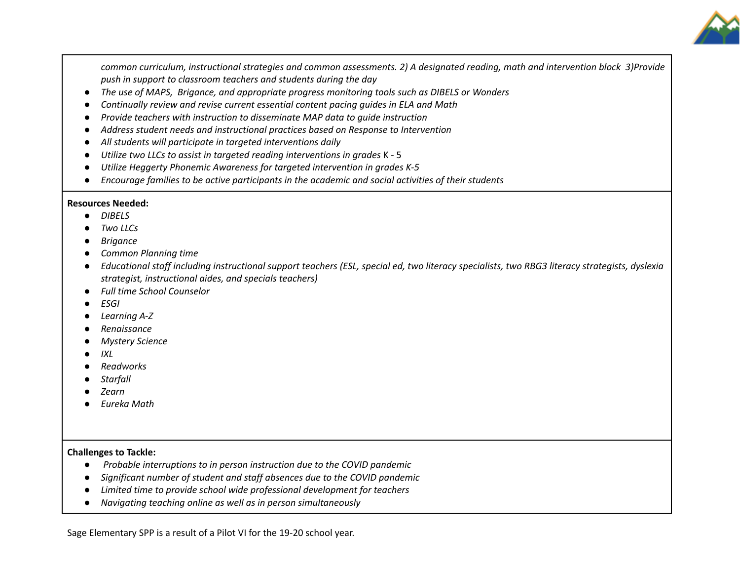

common curriculum, instructional strategies and common assessments. 2) A designated reading, math and intervention block 3)Provide *push in support to classroom teachers and students during the day*

- *● The use of MAPS, Brigance, and appropriate progress monitoring tools such as DIBELS or Wonders*
- *● Continually review and revise current essential content pacing guides in ELA and Math*
- *● Provide teachers with instruction to disseminate MAP data to guide instruction*
- *● Address student needs and instructional practices based on Response to Intervention*
- *● All students will participate in targeted interventions daily*
- *● Utilize two LLCs to assist in targeted reading interventions in grades* K 5
- *● Utilize Heggerty Phonemic Awareness for targeted intervention in grades K-5*
- *● Encourage families to be active participants in the academic and social activities of their students*

#### **Resources Needed:**

- **●** *DIBELS*
- *● Two LLCs*
- *● Brigance*
- *● Common Planning time*
- Educational staff including instructional support teachers (ESL, special ed, two literacy specialists, two RBG3 literacy strategists, dyslexia *strategist, instructional aides, and specials teachers)*
- *● Full time School Counselor*
- *● ESGI*
- *● Learning A-Z*
- *● Renaissance*
- *● Mystery Science*
- *● IXL*
- *● Readworks*
- *● Starfall*
- *● Zearn*
- *● Eureka Math*

### **Challenges to Tackle:**

- **●** *Probable interruptions to in person instruction due to the COVID pandemic*
- **●** *Significant number of student and staff absences due to the COVID pandemic*
- *● Limited time to provide school wide professional development for teachers*
- *● Navigating teaching online as well as in person simultaneously*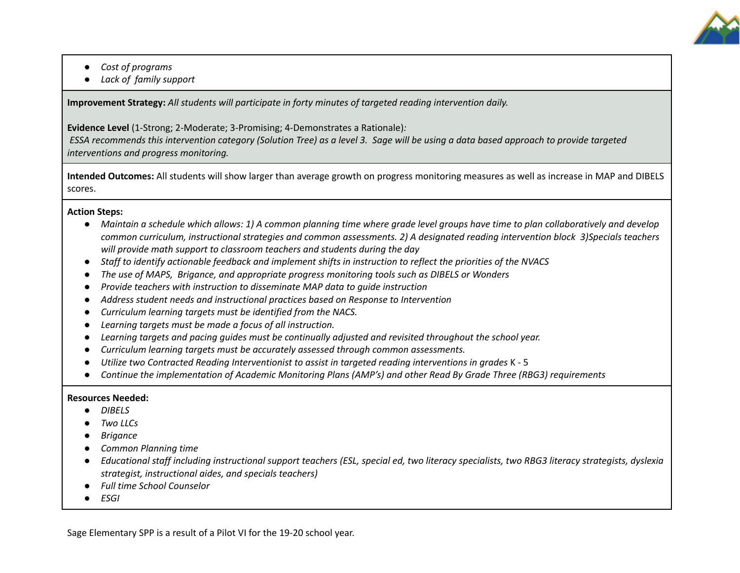

- *● Cost of programs*
- *● Lack of family support*

**Improvement Strategy:** *All students will participate in forty minutes of targeted reading intervention daily.*

**Evidence Level** (1-Strong; 2-Moderate; 3-Promising; 4-Demonstrates a Rationale)*:*

ESSA recommends this intervention category (Solution Tree) as a level 3. Sage will be using a data based approach to provide targeted *interventions and progress monitoring.*

**Intended Outcomes:** All students will show larger than average growth on progress monitoring measures as well as increase in MAP and DIBELS scores.

#### **Action Steps:**

- Maintain a schedule which allows: 1) A common planning time where grade level groups have time to plan collaboratively and develop common curriculum, instructional strategies and common assessments. 2) A designated reading intervention block 3)Specials teachers *will provide math support to classroom teachers and students during the day*
- Staff to identify actionable feedback and implement shifts in instruction to reflect the priorities of the NVACS
- *● The use of MAPS, Brigance, and appropriate progress monitoring tools such as DIBELS or Wonders*
- **●** *Provide teachers with instruction to disseminate MAP data to guide instruction*
- *● Address student needs and instructional practices based on Response to Intervention*
- *● Curriculum learning targets must be identified from the NACS.*
- *● Learning targets must be made a focus of all instruction.*
- *● Learning targets and pacing guides must be continually adjusted and revisited throughout the school year.*
- *● Curriculum learning targets must be accurately assessed through common assessments.*
- *● Utilize two Contracted Reading Interventionist to assist in targeted reading interventions in grades* K 5
- Continue the implementation of Academic Monitoring Plans (AMP's) and other Read By Grade Three (RBG3) requirements

#### **Resources Needed:**

- **●** *DIBELS*
- *● Two LLCs*
- *● Brigance*
- *● Common Planning time*
- Educational staff including instructional support teachers (ESL, special ed, two literacy specialists, two RBG3 literacy strategists, dyslexia *strategist, instructional aides, and specials teachers)*
- *● Full time School Counselor*
- *● ESGI*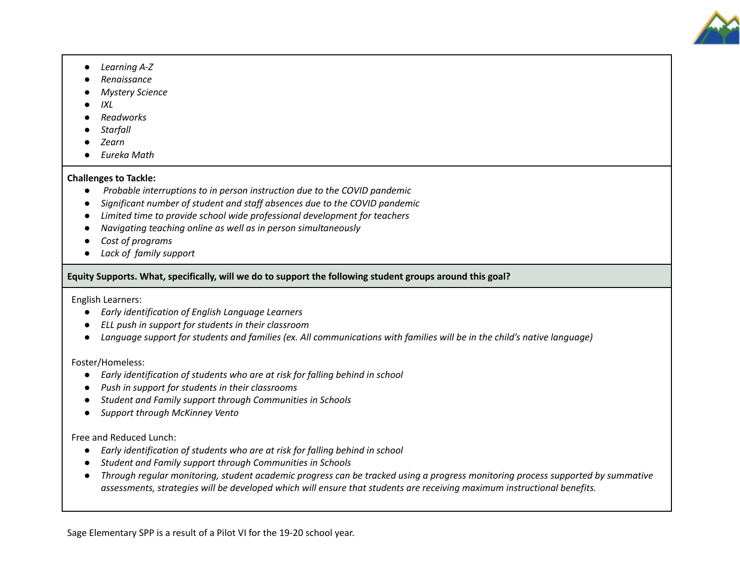

- *● Learning A-Z*
- *● Renaissance*
- *● Mystery Science*
- *● IXL*
- *● Readworks*
- *● Starfall*
- *● Zearn*
- *● Eureka Math*

#### **Challenges to Tackle:**

- **●** *Probable interruptions to in person instruction due to the COVID pandemic*
- **●** *Significant number of student and staff absences due to the COVID pandemic*
- *● Limited time to provide school wide professional development for teachers*
- *● Navigating teaching online as well as in person simultaneously*
- *● Cost of programs*
- *● Lack of family support*

### **Equity Supports. What, specifically, will we do to support the following student groups around this goal?**

English Learners:

- *● Early identification of English Language Learners*
- *● ELL push in support for students in their classroom*
- Language support for students and families (ex. All communications with families will be in the child's native language)

Foster/Homeless:

- *● Early identification of students who are at risk for falling behind in school*
- *● Push in support for students in their classrooms*
- *● Student and Family support through Communities in Schools*
- *● Support through McKinney Vento*

Free and Reduced Lunch:

- *● Early identification of students who are at risk for falling behind in school*
- *● Student and Family support through Communities in Schools*
- Through regular monitoring, student academic progress can be tracked using a progress monitoring process supported by summative *assessments, strategies will be developed which will ensure that students are receiving maximum instructional benefits.*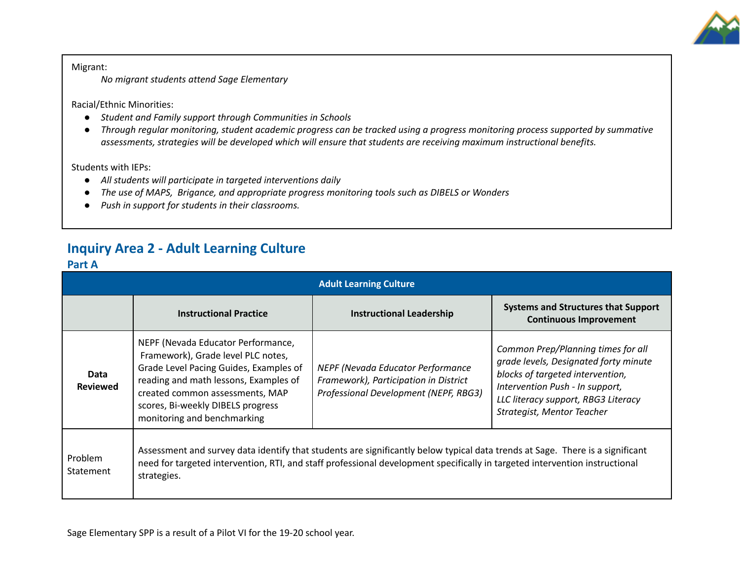

Migrant: *No migrant students attend Sage Elementary*

Racial/Ethnic Minorities:

- *● Student and Family support through Communities in Schools*
- Through regular monitoring, student academic progress can be tracked using a progress monitoring process supported by summative *assessments, strategies will be developed which will ensure that students are receiving maximum instructional benefits.*

Students with IEPs:

- *● All students will participate in targeted interventions daily*
- *● The use of MAPS, Brigance, and appropriate progress monitoring tools such as DIBELS or Wonders*
- *● Push in support for students in their classrooms.*

## **Inquiry Area 2 - Adult Learning Culture**

### **Part A**

| <b>Adult Learning Culture</b> |                                                                                                                                                                                                                                                                             |                                                                                                                            |                                                                                                                                                                                                                         |  |  |  |
|-------------------------------|-----------------------------------------------------------------------------------------------------------------------------------------------------------------------------------------------------------------------------------------------------------------------------|----------------------------------------------------------------------------------------------------------------------------|-------------------------------------------------------------------------------------------------------------------------------------------------------------------------------------------------------------------------|--|--|--|
|                               | <b>Instructional Practice</b>                                                                                                                                                                                                                                               | <b>Instructional Leadership</b>                                                                                            | <b>Systems and Structures that Support</b><br><b>Continuous Improvement</b>                                                                                                                                             |  |  |  |
| Data<br><b>Reviewed</b>       | NEPF (Nevada Educator Performance,<br>Framework), Grade level PLC notes,<br>Grade Level Pacing Guides, Examples of<br>reading and math lessons, Examples of<br>created common assessments, MAP<br>scores, Bi-weekly DIBELS progress<br>monitoring and benchmarking          | <b>NEPF (Nevada Educator Performance</b><br>Framework), Participation in District<br>Professional Development (NEPF, RBG3) | Common Prep/Planning times for all<br>grade levels, Designated forty minute<br>blocks of targeted intervention,<br>Intervention Push - In support,<br>LLC literacy support, RBG3 Literacy<br>Strategist, Mentor Teacher |  |  |  |
| Problem<br><b>Statement</b>   | Assessment and survey data identify that students are significantly below typical data trends at Sage. There is a significant<br>need for targeted intervention, RTI, and staff professional development specifically in targeted intervention instructional<br>strategies. |                                                                                                                            |                                                                                                                                                                                                                         |  |  |  |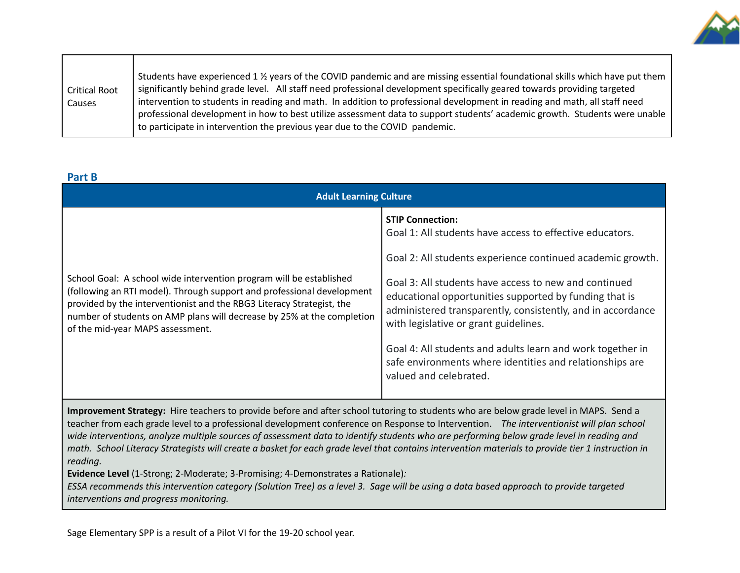

### **Part B**

| <b>Adult Learning Culture</b>                                                                                                                                                                                                                                                                                                        |                                                                                                                                                                                                                                                                                                                                                                                                                                                                                                                                  |  |  |  |  |
|--------------------------------------------------------------------------------------------------------------------------------------------------------------------------------------------------------------------------------------------------------------------------------------------------------------------------------------|----------------------------------------------------------------------------------------------------------------------------------------------------------------------------------------------------------------------------------------------------------------------------------------------------------------------------------------------------------------------------------------------------------------------------------------------------------------------------------------------------------------------------------|--|--|--|--|
| School Goal: A school wide intervention program will be established<br>(following an RTI model). Through support and professional development<br>provided by the interventionist and the RBG3 Literacy Strategist, the<br>number of students on AMP plans will decrease by 25% at the completion<br>of the mid-year MAPS assessment. | <b>STIP Connection:</b><br>Goal 1: All students have access to effective educators.<br>Goal 2: All students experience continued academic growth.<br>Goal 3: All students have access to new and continued<br>educational opportunities supported by funding that is<br>administered transparently, consistently, and in accordance<br>with legislative or grant guidelines.<br>Goal 4: All students and adults learn and work together in<br>safe environments where identities and relationships are<br>valued and celebrated. |  |  |  |  |

**Improvement Strategy:** Hire teachers to provide before and after school tutoring to students who are below grade level in MAPS. Send a teacher from each grade level to a professional development conference on Response to Intervention. *The interventionist will plan school* wide interventions, analyze multiple sources of assessment data to identify students who are performing below grade level in reading and math. School Literacy Strategists will create a basket for each grade level that contains intervention materials to provide tier 1 instruction in *reading.*

**Evidence Level** (1-Strong; 2-Moderate; 3-Promising; 4-Demonstrates a Rationale)*:*

ESSA recommends this intervention category (Solution Tree) as a level 3. Sage will be using a data based approach to provide targeted *interventions and progress monitoring.*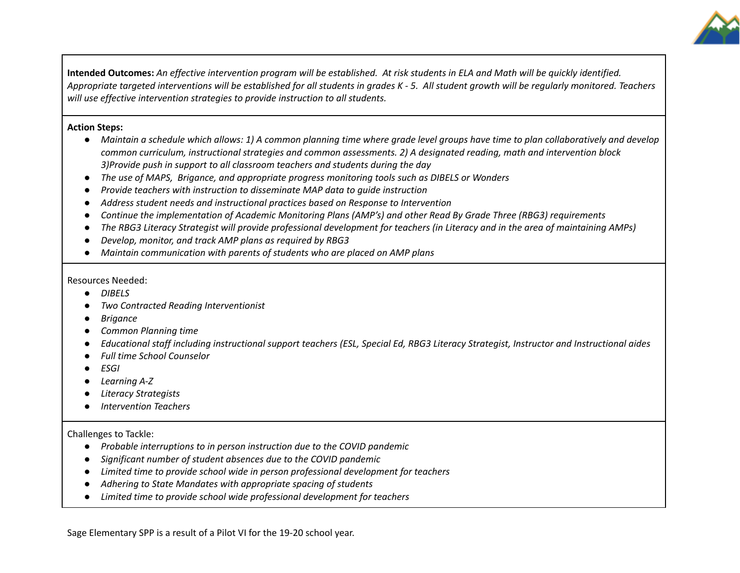

Intended Outcomes: An effective intervention program will be established. At risk students in ELA and Math will be quickly identified. Appropriate targeted interventions will be established for all students in grades K - 5. All student growth will be regularly monitored. Teachers *will use effective intervention strategies to provide instruction to all students.*

#### **Action Steps:**

- Maintain a schedule which allows: 1) A common planning time where grade level groups have time to plan collaboratively and develop common curriculum, instructional strategies and common assessments. 2) A designated reading, math and intervention block *3)Provide push in support to all classroom teachers and students during the day*
- *● The use of MAPS, Brigance, and appropriate progress monitoring tools such as DIBELS or Wonders*
- *● Provide teachers with instruction to disseminate MAP data to guide instruction*
- *● Address student needs and instructional practices based on Response to Intervention*
- Continue the implementation of Academic Monitoring Plans (AMP's) and other Read By Grade Three (RBG3) requirements
- The RBG3 Literacy Strategist will provide professional development for teachers (in Literacy and in the area of maintaining AMPs)
- *● Develop, monitor, and track AMP plans as required by RBG3*
- *● Maintain communication with parents of students who are placed on AMP plans*

#### Resources Needed:

- **●** *DIBELS*
- *● Two Contracted Reading Interventionist*
- *● Brigance*
- *● Common Planning time*
- Educational staff including instructional support teachers (ESL, Special Ed, RBG3 Literacy Strategist, Instructor and Instructional aides
- *● Full time School Counselor*
- *● ESGI*
- *● Learning A-Z*
- *● Literacy Strategists*
- *● Intervention Teachers*

### Challenges to Tackle:

- **●** *Probable interruptions to in person instruction due to the COVID pandemic*
- **●** *Significant number of student absences due to the COVID pandemic*
- *● Limited time to provide school wide in person professional development for teachers*
- *● Adhering to State Mandates with appropriate spacing of students*
- *● Limited time to provide school wide professional development for teachers*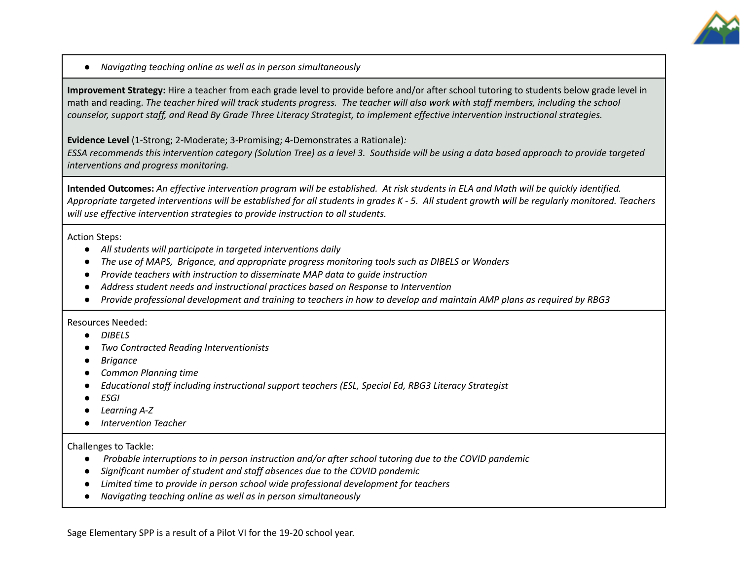

*● Navigating teaching online as well as in person simultaneously*

**Improvement Strategy:** Hire a teacher from each grade level to provide before and/or after school tutoring to students below grade level in math and reading. The teacher hired will track students progress. The teacher will also work with staff members, including the school counselor, support staff, and Read By Grade Three Literacy Strategist, to implement effective intervention instructional strategies.

**Evidence Level** (1-Strong; 2-Moderate; 3-Promising; 4-Demonstrates a Rationale)*:*

ESSA recommends this intervention category (Solution Tree) as a level 3. Southside will be using a data based approach to provide targeted *interventions and progress monitoring.*

Intended Outcomes: An effective intervention program will be established. At risk students in ELA and Math will be quickly identified. Appropriate targeted interventions will be established for all students in grades K - 5. All student growth will be regularly monitored. Teachers *will use effective intervention strategies to provide instruction to all students.*

Action Steps:

- **●** *All students will participate in targeted interventions daily*
- *● The use of MAPS, Brigance, and appropriate progress monitoring tools such as DIBELS or Wonders*
- *● Provide teachers with instruction to disseminate MAP data to guide instruction*
- *● Address student needs and instructional practices based on Response to Intervention*
- Provide professional development and training to teachers in how to develop and maintain AMP plans as required by RBG3

Resources Needed:

- **●** *DIBELS*
- *● Two Contracted Reading Interventionists*
- *● Brigance*
- *● Common Planning time*
- *● Educational staff including instructional support teachers (ESL, Special Ed, RBG3 Literacy Strategist*
- *● ESGI*
- *● Learning A-Z*
- *● Intervention Teacher*

Challenges to Tackle:

- **●** *Probable interruptions to in person instruction and/or after school tutoring due to the COVID pandemic*
- **●** *Significant number of student and staff absences due to the COVID pandemic*
- *● Limited time to provide in person school wide professional development for teachers*
- *● Navigating teaching online as well as in person simultaneously*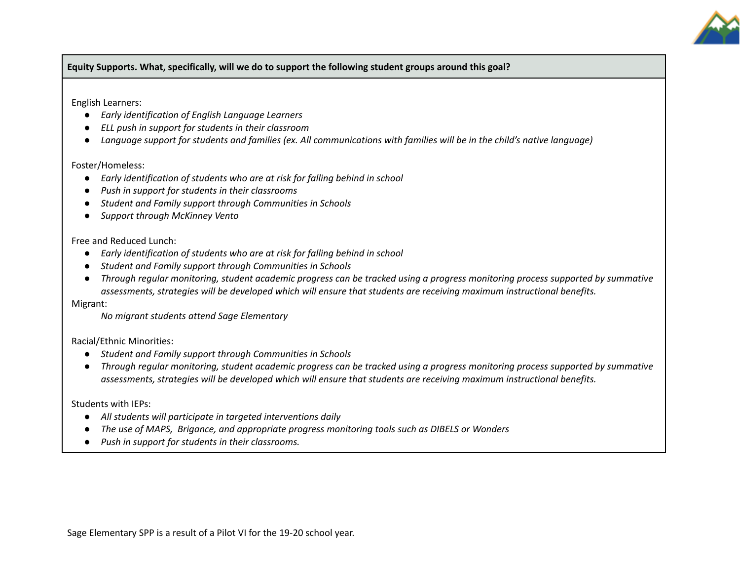

**Equity Supports. What, specifically, will we do to support the following student groups around this goal?**

English Learners:

- *● Early identification of English Language Learners*
- *● ELL push in support for students in their classroom*
- Language support for students and families (ex. All communications with families will be in the child's native language)

### Foster/Homeless:

- *● Early identification of students who are at risk for falling behind in school*
- *● Push in support for students in their classrooms*
- *● Student and Family support through Communities in Schools*
- *● Support through McKinney Vento*

Free and Reduced Lunch:

- *● Early identification of students who are at risk for falling behind in school*
- *● Student and Family support through Communities in Schools*
- Through regular monitoring, student academic progress can be tracked using a progress monitoring process supported by summative *assessments, strategies will be developed which will ensure that students are receiving maximum instructional benefits.*

Migrant:

*No migrant students attend Sage Elementary*

Racial/Ethnic Minorities:

- *● Student and Family support through Communities in Schools*
- Through regular monitoring, student academic progress can be tracked using a progress monitoring process supported by summative *assessments, strategies will be developed which will ensure that students are receiving maximum instructional benefits.*

Students with IEPs:

- *● All students will participate in targeted interventions daily*
- *● The use of MAPS, Brigance, and appropriate progress monitoring tools such as DIBELS or Wonders*
- *● Push in support for students in their classrooms.*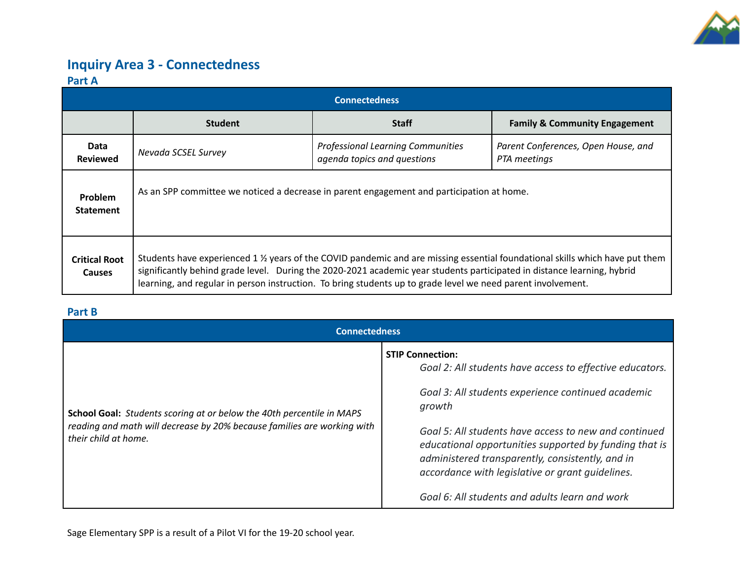

## **Inquiry Area 3 - Connectedness**

### **Part A**

| <b>Connectedness</b>                  |                                                                                                                                                                                                                                                                                                                                                                        |                                                                         |                                                     |  |  |  |  |
|---------------------------------------|------------------------------------------------------------------------------------------------------------------------------------------------------------------------------------------------------------------------------------------------------------------------------------------------------------------------------------------------------------------------|-------------------------------------------------------------------------|-----------------------------------------------------|--|--|--|--|
|                                       | <b>Student</b>                                                                                                                                                                                                                                                                                                                                                         | <b>Staff</b>                                                            | <b>Family &amp; Community Engagement</b>            |  |  |  |  |
| Data<br><b>Reviewed</b>               | Nevada SCSEL Survey                                                                                                                                                                                                                                                                                                                                                    | <b>Professional Learning Communities</b><br>agenda topics and questions | Parent Conferences, Open House, and<br>PTA meetings |  |  |  |  |
| Problem<br><b>Statement</b>           | As an SPP committee we noticed a decrease in parent engagement and participation at home.                                                                                                                                                                                                                                                                              |                                                                         |                                                     |  |  |  |  |
| <b>Critical Root</b><br><b>Causes</b> | Students have experienced 1 % years of the COVID pandemic and are missing essential foundational skills which have put them<br>significantly behind grade level. During the 2020-2021 academic year students participated in distance learning, hybrid<br>learning, and regular in person instruction. To bring students up to grade level we need parent involvement. |                                                                         |                                                     |  |  |  |  |

### **Part B**

| <b>Connectedness</b>                                                                                                                                                            |                                                                                                                                                                                                                                                                                                                                                                                                                                  |  |  |  |
|---------------------------------------------------------------------------------------------------------------------------------------------------------------------------------|----------------------------------------------------------------------------------------------------------------------------------------------------------------------------------------------------------------------------------------------------------------------------------------------------------------------------------------------------------------------------------------------------------------------------------|--|--|--|
| <b>School Goal:</b> Students scoring at or below the 40th percentile in MAPS<br>reading and math will decrease by 20% because families are working with<br>their child at home. | <b>STIP Connection:</b><br>Goal 2: All students have access to effective educators.<br>Goal 3: All students experience continued academic<br>growth<br>Goal 5: All students have access to new and continued<br>educational opportunities supported by funding that is<br>administered transparently, consistently, and in<br>accordance with legislative or grant quidelines.<br>Goal 6: All students and adults learn and work |  |  |  |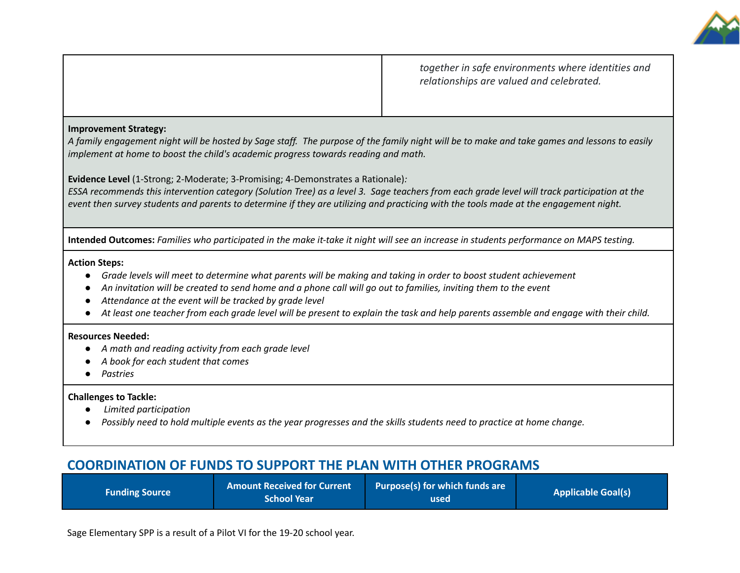

*together in safe environments where identities and relationships are valued and celebrated.*

#### **Improvement Strategy:**

A family engagement night will be hosted by Sage staff. The purpose of the family night will be to make and take games and lessons to easily *implement at home to boost the child's academic progress towards reading and math.*

**Evidence Level** (1-Strong; 2-Moderate; 3-Promising; 4-Demonstrates a Rationale)*:*

ESSA recommends this intervention category (Solution Tree) as a level 3. Sage teachers from each grade level will track participation at the event then survey students and parents to determine if they are utilizing and practicing with the tools made at the engagement night.

Intended Outcomes: Families who participated in the make it-take it night will see an increase in students performance on MAPS testing.

#### **Action Steps:**

- Grade levels will meet to determine what parents will be making and taking in order to boost student achievement
- An invitation will be created to send home and a phone call will go out to families, inviting them to the event
- *● Attendance at the event will be tracked by grade level*
- At least one teacher from each grade level will be present to explain the task and help parents assemble and engage with their child.

#### **Resources Needed:**

- *● A math and reading activity from each grade level*
- *● A book for each student that comes*
- *● Pastries*

#### **Challenges to Tackle:**

- **●** *Limited participation*
- Possibly need to hold multiple events as the year progresses and the skills students need to practice at home change.

## **COORDINATION OF FUNDS TO SUPPORT THE PLAN WITH OTHER PROGRAMS**

| <b>Funding Source</b> | <b>Amount Received for Current</b><br><b>School Year</b> | Purpose(s) for which funds are<br>used | <b>Applicable Goal(s)</b> |
|-----------------------|----------------------------------------------------------|----------------------------------------|---------------------------|
|-----------------------|----------------------------------------------------------|----------------------------------------|---------------------------|